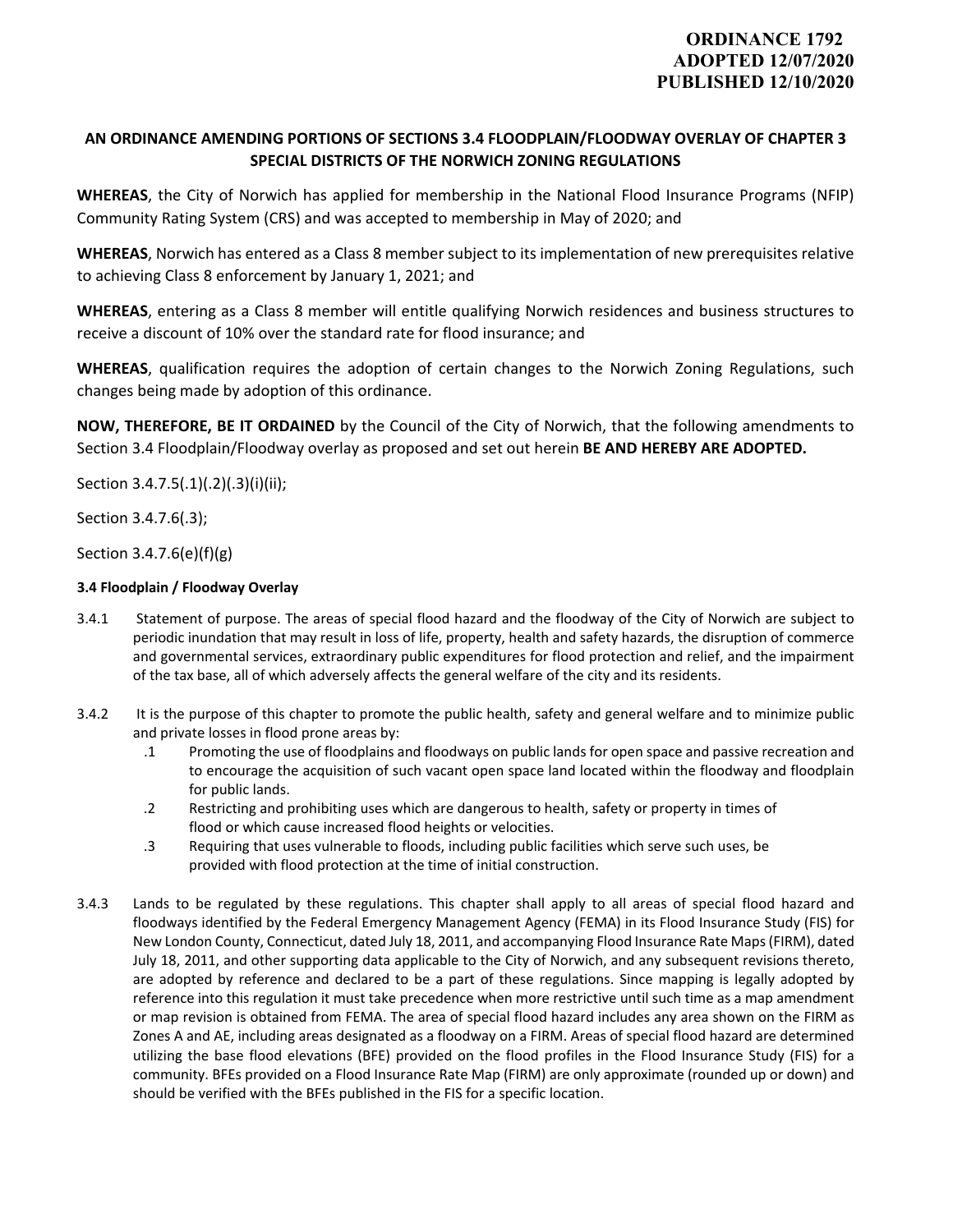# **AN ORDINANCE AMENDING PORTIONS OF SECTIONS 3.4 FLOODPLAIN/FLOODWAY OVERLAY OF CHAPTER 3 SPECIAL DISTRICTS OF THE NORWICH ZONING REGULATIONS**

**WHEREAS**, the City of Norwich has applied for membership in the National Flood Insurance Programs (NFIP) Community Rating System (CRS) and was accepted to membership in May of 2020; and

**WHEREAS**, Norwich has entered as a Class 8 member subject to its implementation of new prerequisites relative to achieving Class 8 enforcement by January 1, 2021; and

**WHEREAS**, entering as a Class 8 member will entitle qualifying Norwich residences and business structures to receive a discount of 10% over the standard rate for flood insurance; and

**WHEREAS**, qualification requires the adoption of certain changes to the Norwich Zoning Regulations, such changes being made by adoption of this ordinance.

**NOW, THEREFORE, BE IT ORDAINED** by the Council of the City of Norwich, that the following amendments to Section 3.4 Floodplain/Floodway overlay as proposed and set out herein **BE AND HEREBY ARE ADOPTED.** 

Section 3.4.7.5(.1)(.2)(.3)(i)(ii);

Section 3.4.7.6(.3);

Section 3.4.7.6(e)(f)(g)

# **3.4 Floodplain / Floodway Overlay**

- 3.4.1 Statement of purpose. The areas of special flood hazard and the floodway of the City of Norwich are subject to periodic inundation that may result in loss of life, property, health and safety hazards, the disruption of commerce and governmental services, extraordinary public expenditures for flood protection and relief, and the impairment of the tax base, all of which adversely affects the general welfare of the city and its residents.
- 3.4.2 It is the purpose of this chapter to promote the public health, safety and general welfare and to minimize public and private losses in flood prone areas by:
	- .1 Promoting the use of floodplains and floodways on public lands for open space and passive recreation and to encourage the acquisition of such vacant open space land located within the floodway and floodplain for public lands.
	- .2 Restricting and prohibiting uses which are dangerous to health, safety or property in times of flood or which cause increased flood heights or velocities.
	- .3 Requiring that uses vulnerable to floods, including public facilities which serve such uses, be provided with flood protection at the time of initial construction.
- 3.4.3 Lands to be regulated by these regulations. This chapter shall apply to all areas of special flood hazard and floodways identified by the Federal Emergency Management Agency (FEMA) in its Flood Insurance Study (FIS) for New London County, Connecticut, dated July 18, 2011, and accompanying Flood Insurance Rate Maps(FIRM), dated July 18, 2011, and other supporting data applicable to the City of Norwich, and any subsequent revisions thereto, are adopted by reference and declared to be a part of these regulations. Since mapping is legally adopted by reference into this regulation it must take precedence when more restrictive until such time as a map amendment or map revision is obtained from FEMA. The area of special flood hazard includes any area shown on the FIRM as Zones A and AE, including areas designated as a floodway on a FIRM. Areas of special flood hazard are determined utilizing the base flood elevations (BFE) provided on the flood profiles in the Flood Insurance Study (FIS) for a community. BFEs provided on a Flood Insurance Rate Map (FIRM) are only approximate (rounded up or down) and should be verified with the BFEs published in the FIS for a specific location.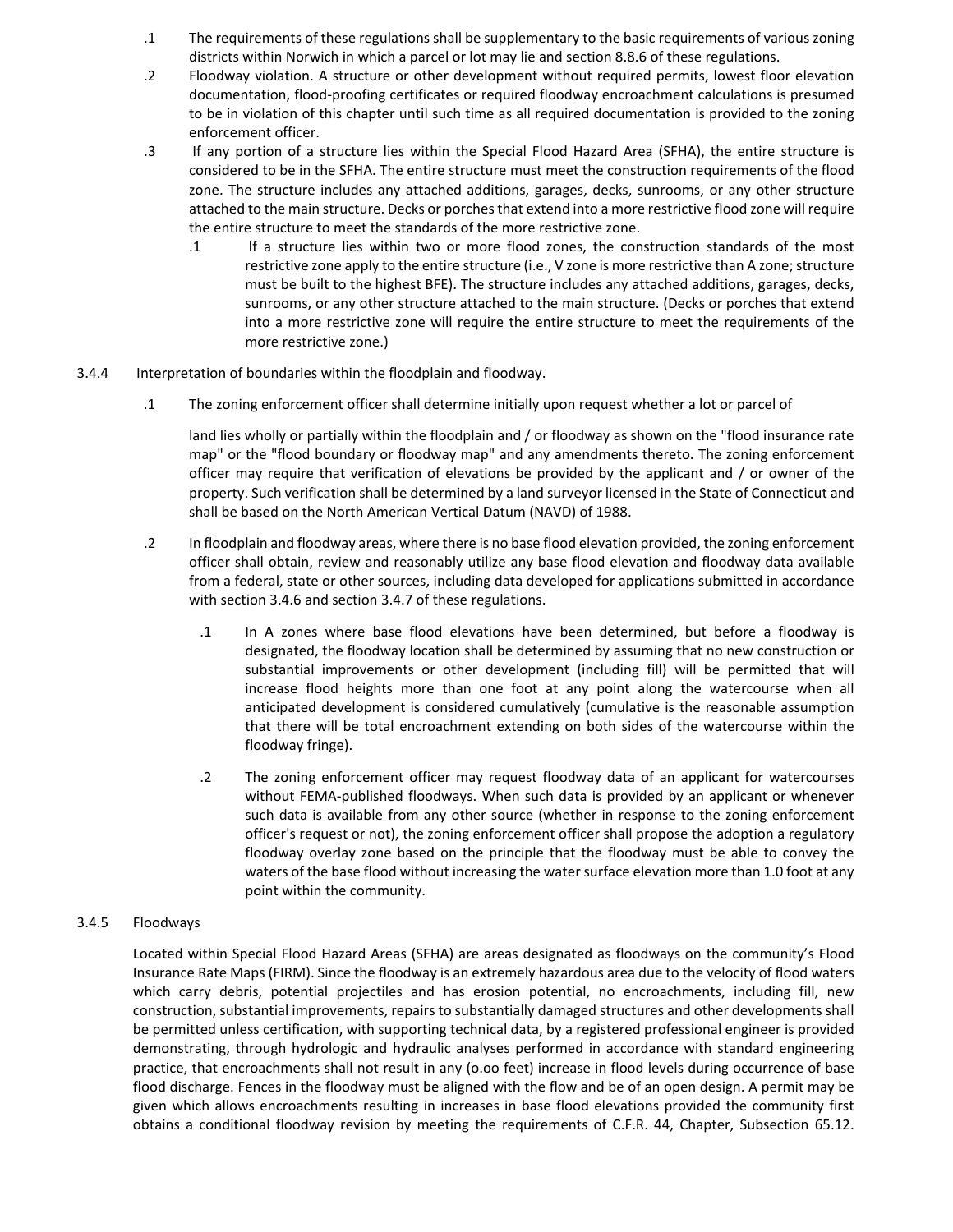- .1 The requirements of these regulations shall be supplementary to the basic requirements of various zoning districts within Norwich in which a parcel or lot may lie and section 8.8.6 of these regulations.
- .2 Floodway violation. A structure or other development without required permits, lowest floor elevation documentation, flood‐proofing certificates or required floodway encroachment calculations is presumed to be in violation of this chapter until such time as all required documentation is provided to the zoning enforcement officer.
- .3 If any portion of a structure lies within the Special Flood Hazard Area (SFHA), the entire structure is considered to be in the SFHA. The entire structure must meet the construction requirements of the flood zone. The structure includes any attached additions, garages, decks, sunrooms, or any other structure attached to the main structure. Decks or porches that extend into a more restrictive flood zone will require the entire structure to meet the standards of the more restrictive zone.
	- .1 If a structure lies within two or more flood zones, the construction standards of the most restrictive zone apply to the entire structure (i.e., V zone is more restrictive than A zone; structure must be built to the highest BFE). The structure includes any attached additions, garages, decks, sunrooms, or any other structure attached to the main structure. (Decks or porches that extend into a more restrictive zone will require the entire structure to meet the requirements of the more restrictive zone.)
- 3.4.4 Interpretation of boundaries within the floodplain and floodway.
	- .1 The zoning enforcement officer shall determine initially upon request whether a lot or parcel of

land lies wholly or partially within the floodplain and / or floodway as shown on the "flood insurance rate map" or the "flood boundary or floodway map" and any amendments thereto. The zoning enforcement officer may require that verification of elevations be provided by the applicant and / or owner of the property. Such verification shall be determined by a land surveyor licensed in the State of Connecticut and shall be based on the North American Vertical Datum (NAVD) of 1988.

- .2 In floodplain and floodway areas, where there is no base flood elevation provided, the zoning enforcement officer shall obtain, review and reasonably utilize any base flood elevation and floodway data available from a federal, state or other sources, including data developed for applications submitted in accordance with section 3.4.6 and section 3.4.7 of these regulations.
	- .1 In A zones where base flood elevations have been determined, but before a floodway is designated, the floodway location shall be determined by assuming that no new construction or substantial improvements or other development (including fill) will be permitted that will increase flood heights more than one foot at any point along the watercourse when all anticipated development is considered cumulatively (cumulative is the reasonable assumption that there will be total encroachment extending on both sides of the watercourse within the floodway fringe).
	- .2 The zoning enforcement officer may request floodway data of an applicant for watercourses without FEMA‐published floodways. When such data is provided by an applicant or whenever such data is available from any other source (whether in response to the zoning enforcement officer's request or not), the zoning enforcement officer shall propose the adoption a regulatory floodway overlay zone based on the principle that the floodway must be able to convey the waters of the base flood without increasing the water surface elevation more than 1.0 foot at any point within the community.

## 3.4.5 Floodways

Located within Special Flood Hazard Areas (SFHA) are areas designated as floodways on the community's Flood Insurance Rate Maps (FIRM). Since the floodway is an extremely hazardous area due to the velocity of flood waters which carry debris, potential projectiles and has erosion potential, no encroachments, including fill, new construction, substantial improvements, repairs to substantially damaged structures and other developments shall be permitted unless certification, with supporting technical data, by a registered professional engineer is provided demonstrating, through hydrologic and hydraulic analyses performed in accordance with standard engineering practice, that encroachments shall not result in any (o.oo feet) increase in flood levels during occurrence of base flood discharge. Fences in the floodway must be aligned with the flow and be of an open design. A permit may be given which allows encroachments resulting in increases in base flood elevations provided the community first obtains a conditional floodway revision by meeting the requirements of C.F.R. 44, Chapter, Subsection 65.12.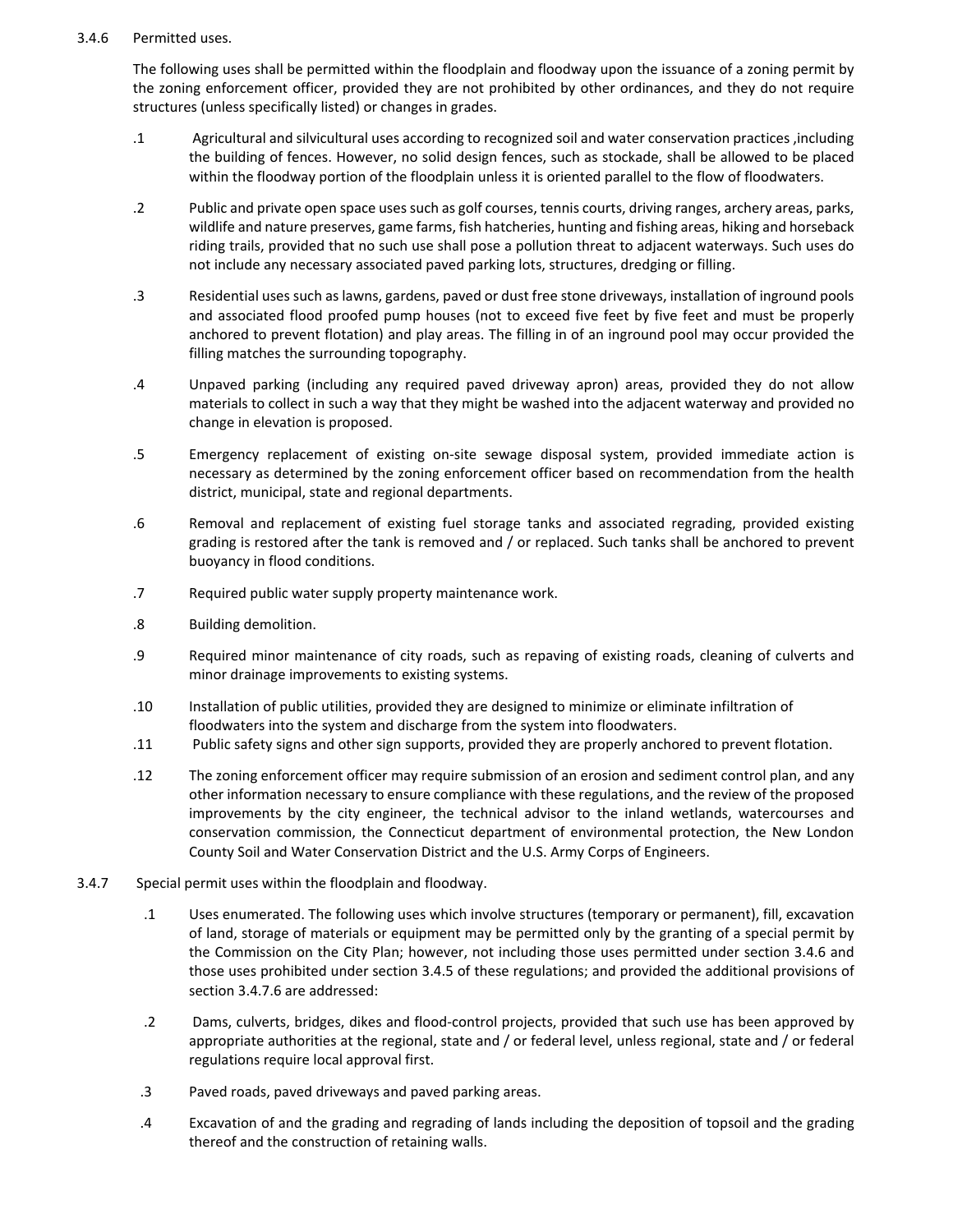## 3.4.6 Permitted uses.

The following uses shall be permitted within the floodplain and floodway upon the issuance of a zoning permit by the zoning enforcement officer, provided they are not prohibited by other ordinances, and they do not require structures (unless specifically listed) or changes in grades.

- .1 Agricultural and silvicultural uses according to recognized soil and water conservation practices ,including the building of fences. However, no solid design fences, such as stockade, shall be allowed to be placed within the floodway portion of the floodplain unless it is oriented parallel to the flow of floodwaters.
- .2 Public and private open space uses such as golf courses, tennis courts, driving ranges, archery areas, parks, wildlife and nature preserves, game farms, fish hatcheries, hunting and fishing areas, hiking and horseback riding trails, provided that no such use shall pose a pollution threat to adjacent waterways. Such uses do not include any necessary associated paved parking lots, structures, dredging or filling.
- .3 Residential uses such as lawns, gardens, paved or dust free stone driveways, installation of inground pools and associated flood proofed pump houses (not to exceed five feet by five feet and must be properly anchored to prevent flotation) and play areas. The filling in of an inground pool may occur provided the filling matches the surrounding topography.
- .4 Unpaved parking (including any required paved driveway apron) areas, provided they do not allow materials to collect in such a way that they might be washed into the adjacent waterway and provided no change in elevation is proposed.
- .5 Emergency replacement of existing on‐site sewage disposal system, provided immediate action is necessary as determined by the zoning enforcement officer based on recommendation from the health district, municipal, state and regional departments.
- .6 Removal and replacement of existing fuel storage tanks and associated regrading, provided existing grading is restored after the tank is removed and / or replaced. Such tanks shall be anchored to prevent buoyancy in flood conditions.
- .7 Required public water supply property maintenance work.
- .8 Building demolition.
- .9 Required minor maintenance of city roads, such as repaving of existing roads, cleaning of culverts and minor drainage improvements to existing systems.
- .10 Installation of public utilities, provided they are designed to minimize or eliminate infiltration of floodwaters into the system and discharge from the system into floodwaters.
- .11 Public safety signs and other sign supports, provided they are properly anchored to prevent flotation.
- .12 The zoning enforcement officer may require submission of an erosion and sediment control plan, and any other information necessary to ensure compliance with these regulations, and the review of the proposed improvements by the city engineer, the technical advisor to the inland wetlands, watercourses and conservation commission, the Connecticut department of environmental protection, the New London County Soil and Water Conservation District and the U.S. Army Corps of Engineers.
- 3.4.7 Special permit uses within the floodplain and floodway.
	- .1 Uses enumerated. The following uses which involve structures (temporary or permanent), fill, excavation of land, storage of materials or equipment may be permitted only by the granting of a special permit by the Commission on the City Plan; however, not including those uses permitted under section 3.4.6 and those uses prohibited under section 3.4.5 of these regulations; and provided the additional provisions of section 3.4.7.6 are addressed:
	- .2 Dams, culverts, bridges, dikes and flood‐control projects, provided that such use has been approved by appropriate authorities at the regional, state and / or federal level, unless regional, state and / or federal regulations require local approval first.
	- .3 Paved roads, paved driveways and paved parking areas.
	- .4 Excavation of and the grading and regrading of lands including the deposition of topsoil and the grading thereof and the construction of retaining walls.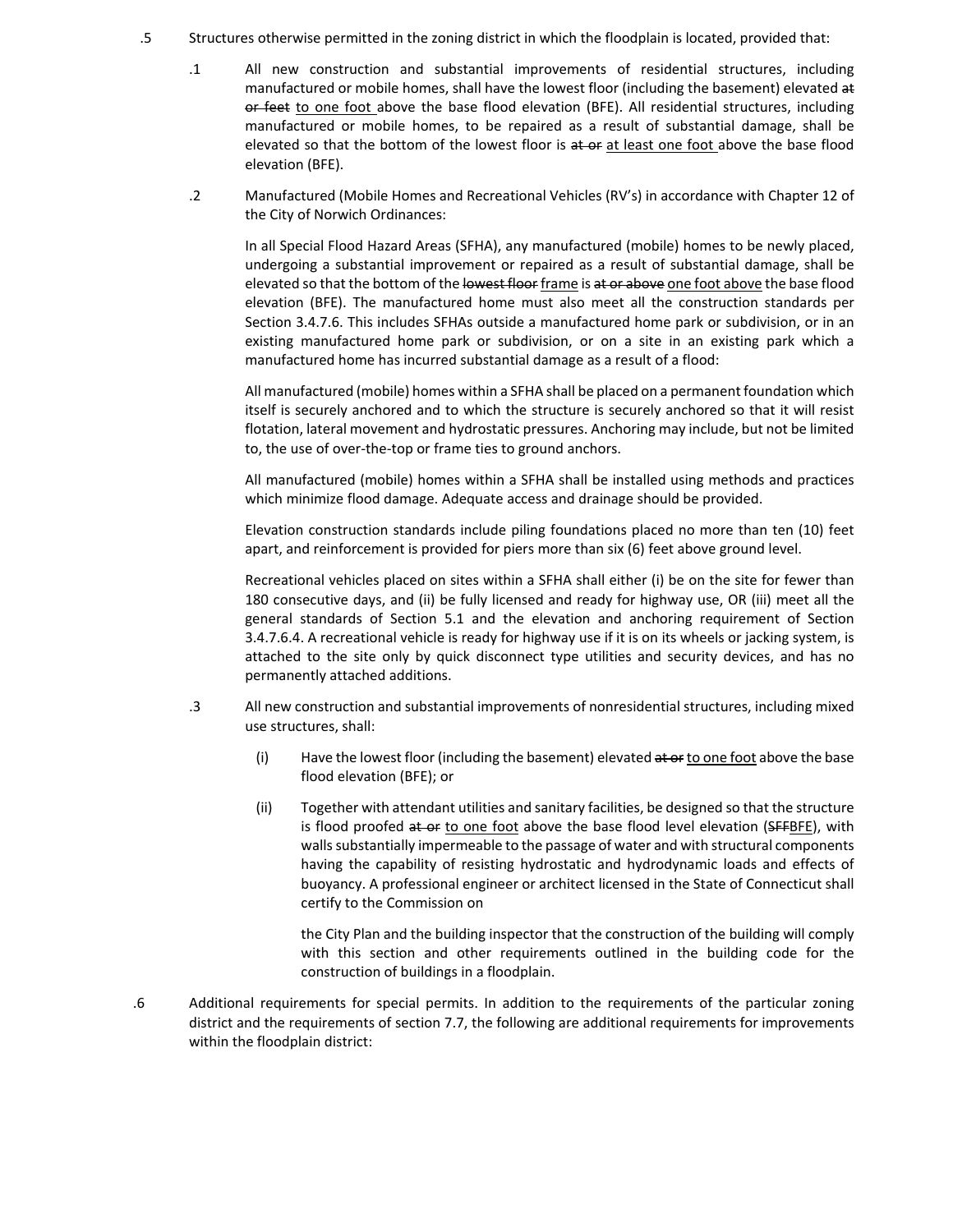- .5 Structures otherwise permitted in the zoning district in which the floodplain is located, provided that:
	- .1 All new construction and substantial improvements of residential structures, including manufactured or mobile homes, shall have the lowest floor (including the basement) elevated at or feet to one foot above the base flood elevation (BFE). All residential structures, including manufactured or mobile homes, to be repaired as a result of substantial damage, shall be elevated so that the bottom of the lowest floor is at or at least one foot above the base flood elevation (BFE).
	- .2 Manufactured (Mobile Homes and Recreational Vehicles (RV's) in accordance with Chapter 12 of the City of Norwich Ordinances:

In all Special Flood Hazard Areas (SFHA), any manufactured (mobile) homes to be newly placed, undergoing a substantial improvement or repaired as a result of substantial damage, shall be elevated so that the bottom of the lowest floor frame is at or above one foot above the base flood elevation (BFE). The manufactured home must also meet all the construction standards per Section 3.4.7.6. This includes SFHAs outside a manufactured home park or subdivision, or in an existing manufactured home park or subdivision, or on a site in an existing park which a manufactured home has incurred substantial damage as a result of a flood:

All manufactured (mobile) homes within a SFHA shall be placed on a permanent foundation which itself is securely anchored and to which the structure is securely anchored so that it will resist flotation, lateral movement and hydrostatic pressures. Anchoring may include, but not be limited to, the use of over‐the‐top or frame ties to ground anchors.

All manufactured (mobile) homes within a SFHA shall be installed using methods and practices which minimize flood damage. Adequate access and drainage should be provided.

Elevation construction standards include piling foundations placed no more than ten (10) feet apart, and reinforcement is provided for piers more than six (6) feet above ground level.

Recreational vehicles placed on sites within a SFHA shall either (i) be on the site for fewer than 180 consecutive days, and (ii) be fully licensed and ready for highway use, OR (iii) meet all the general standards of Section 5.1 and the elevation and anchoring requirement of Section 3.4.7.6.4. A recreational vehicle is ready for highway use if it is on its wheels or jacking system, is attached to the site only by quick disconnect type utilities and security devices, and has no permanently attached additions.

- .3 All new construction and substantial improvements of nonresidential structures, including mixed use structures, shall:
	- (i) Have the lowest floor (including the basement) elevated  $\frac{1}{x}$  at  $\frac{1}{y}$  one foot above the base flood elevation (BFE); or
	- (ii) Together with attendant utilities and sanitary facilities, be designed so that the structure is flood proofed at or to one foot above the base flood level elevation (SFFBFE), with walls substantially impermeable to the passage of water and with structural components having the capability of resisting hydrostatic and hydrodynamic loads and effects of buoyancy. A professional engineer or architect licensed in the State of Connecticut shall certify to the Commission on

the City Plan and the building inspector that the construction of the building will comply with this section and other requirements outlined in the building code for the construction of buildings in a floodplain.

.6 Additional requirements for special permits. In addition to the requirements of the particular zoning district and the requirements of section 7.7, the following are additional requirements for improvements within the floodplain district: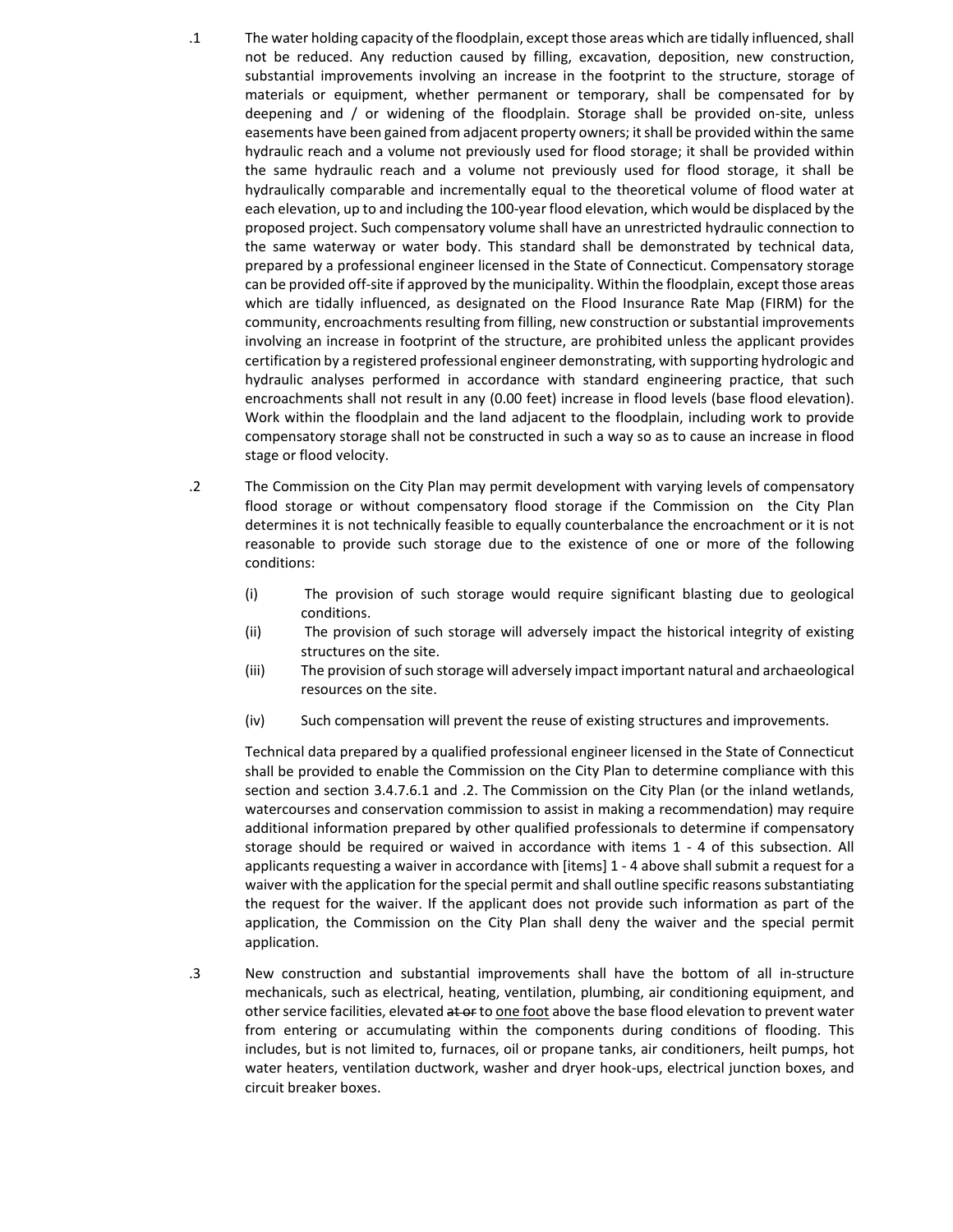- .1 The water holding capacity of the floodplain, except those areas which are tidally influenced,shall not be reduced. Any reduction caused by filling, excavation, deposition, new construction, substantial improvements involving an increase in the footprint to the structure, storage of materials or equipment, whether permanent or temporary, shall be compensated for by deepening and / or widening of the floodplain. Storage shall be provided on‐site, unless easements have been gained from adjacent property owners; it shall be provided within the same hydraulic reach and a volume not previously used for flood storage; it shall be provided within the same hydraulic reach and a volume not previously used for flood storage, it shall be hydraulically comparable and incrementally equal to the theoretical volume of flood water at each elevation, up to and including the 100‐year flood elevation, which would be displaced by the proposed project. Such compensatory volume shall have an unrestricted hydraulic connection to the same waterway or water body. This standard shall be demonstrated by technical data, prepared by a professional engineer licensed in the State of Connecticut. Compensatory storage can be provided off-site if approved by the municipality. Within the floodplain, except those areas which are tidally influenced, as designated on the Flood Insurance Rate Map (FIRM) for the community, encroachments resulting from filling, new construction or substantial improvements involving an increase in footprint of the structure, are prohibited unless the applicant provides certification by a registered professional engineer demonstrating, with supporting hydrologic and hydraulic analyses performed in accordance with standard engineering practice, that such encroachments shall not result in any (0.00 feet) increase in flood levels (base flood elevation). Work within the floodplain and the land adjacent to the floodplain, including work to provide compensatory storage shall not be constructed in such a way so as to cause an increase in flood stage or flood velocity.
- .2 The Commission on the City Plan may permit development with varying levels of compensatory flood storage or without compensatory flood storage if the Commission on the City Plan determines it is not technically feasible to equally counterbalance the encroachment or it is not reasonable to provide such storage due to the existence of one or more of the following conditions:
	- (i) The provision of such storage would require significant blasting due to geological conditions.
	- (ii) The provision of such storage will adversely impact the historical integrity of existing structures on the site.
	- (iii) The provision of such storage will adversely impact important natural and archaeological resources on the site.
	- (iv) Such compensation will prevent the reuse of existing structures and improvements.

Technical data prepared by a qualified professional engineer licensed in the State of Connecticut shall be provided to enable the Commission on the City Plan to determine compliance with this section and section 3.4.7.6.1 and .2. The Commission on the City Plan (or the inland wetlands, watercourses and conservation commission to assist in making a recommendation) may require additional information prepared by other qualified professionals to determine if compensatory storage should be required or waived in accordance with items 1 - 4 of this subsection. All applicants requesting a waiver in accordance with [items] 1 ‐ 4 above shall submit a request for a waiver with the application for the special permit and shall outline specific reasons substantiating the request for the waiver. If the applicant does not provide such information as part of the application, the Commission on the City Plan shall deny the waiver and the special permit application.

.3 New construction and substantial improvements shall have the bottom of all in‐structure mechanicals, such as electrical, heating, ventilation, plumbing, air conditioning equipment, and other service facilities, elevated at or to one foot above the base flood elevation to prevent water from entering or accumulating within the components during conditions of flooding. This includes, but is not limited to, furnaces, oil or propane tanks, air conditioners, heilt pumps, hot water heaters, ventilation ductwork, washer and dryer hook‐ups, electrical junction boxes, and circuit breaker boxes.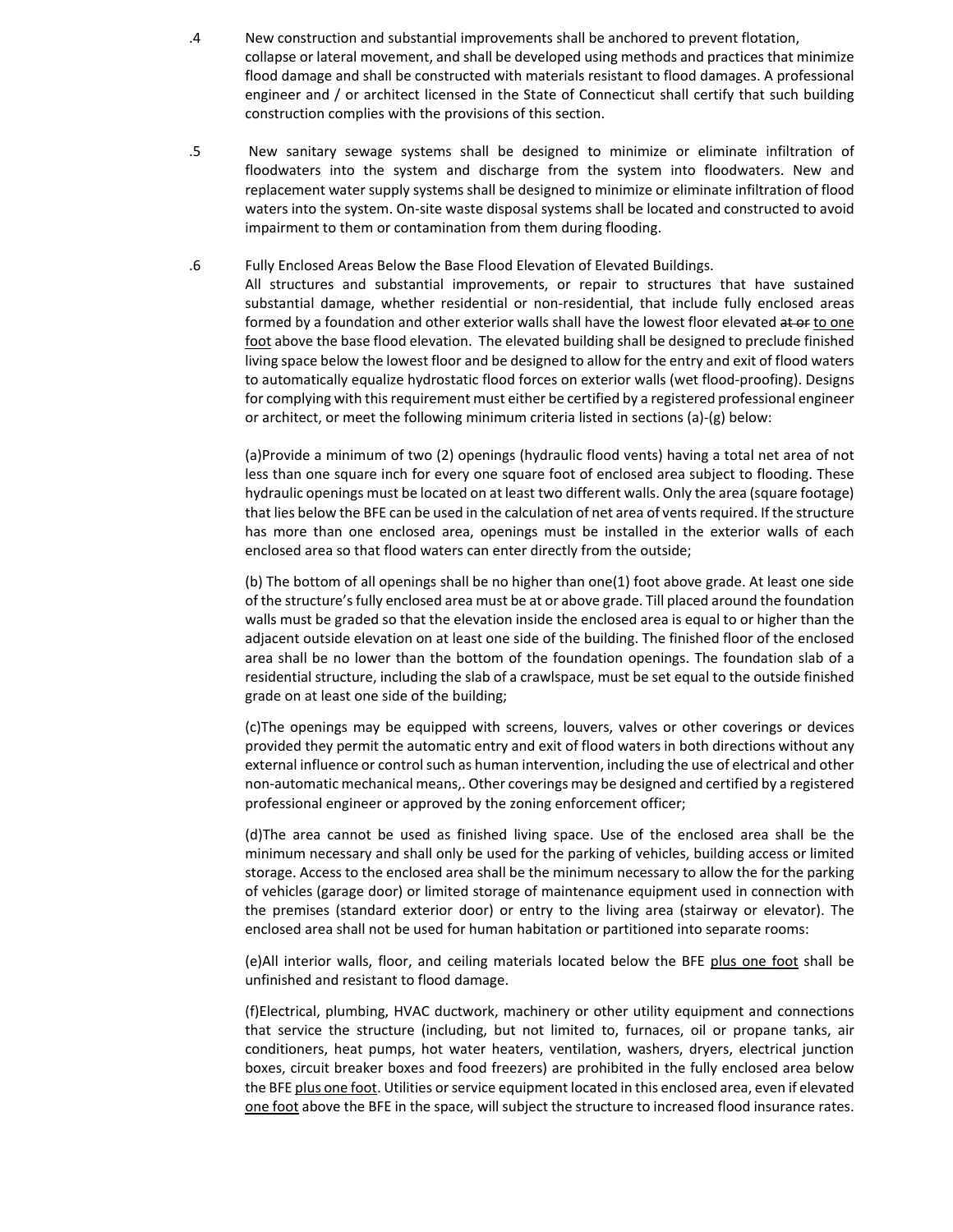- .4 New construction and substantial improvements shall be anchored to prevent flotation, collapse or lateral movement, and shall be developed using methods and practices that minimize flood damage and shall be constructed with materials resistant to flood damages. A professional engineer and / or architect licensed in the State of Connecticut shall certify that such building construction complies with the provisions of this section.
- .5 New sanitary sewage systems shall be designed to minimize or eliminate infiltration of floodwaters into the system and discharge from the system into floodwaters. New and replacement water supply systems shall be designed to minimize or eliminate infiltration of flood waters into the system. On‐site waste disposal systems shall be located and constructed to avoid impairment to them or contamination from them during flooding.
- .6 Fully Enclosed Areas Below the Base Flood Elevation of Elevated Buildings.

All structures and substantial improvements, or repair to structures that have sustained substantial damage, whether residential or non-residential, that include fully enclosed areas formed by a foundation and other exterior walls shall have the lowest floor elevated at or to one foot above the base flood elevation. The elevated building shall be designed to preclude finished living space below the lowest floor and be designed to allow for the entry and exit of flood waters to automatically equalize hydrostatic flood forces on exterior walls (wet flood‐proofing). Designs for complying with this requirement must either be certified by a registered professional engineer or architect, or meet the following minimum criteria listed in sections (a)‐(g) below:

(a)Provide a minimum of two (2) openings (hydraulic flood vents) having a total net area of not less than one square inch for every one square foot of enclosed area subject to flooding. These hydraulic openings must be located on at least two different walls. Only the area (square footage) that lies below the BFE can be used in the calculation of net area of vents required. If the structure has more than one enclosed area, openings must be installed in the exterior walls of each enclosed area so that flood waters can enter directly from the outside;

(b) The bottom of all openings shall be no higher than one(1) foot above grade. At least one side of the structure'sfully enclosed area must be at or above grade. Till placed around the foundation walls must be graded so that the elevation inside the enclosed area is equal to or higher than the adjacent outside elevation on at least one side of the building. The finished floor of the enclosed area shall be no lower than the bottom of the foundation openings. The foundation slab of a residential structure, including the slab of a crawlspace, must be set equal to the outside finished grade on at least one side of the building;

(c)The openings may be equipped with screens, louvers, valves or other coverings or devices provided they permit the automatic entry and exit of flood waters in both directions without any external influence or control such as human intervention, including the use of electrical and other non‐automatic mechanical means,. Other coverings may be designed and certified by a registered professional engineer or approved by the zoning enforcement officer;

(d)The area cannot be used as finished living space. Use of the enclosed area shall be the minimum necessary and shall only be used for the parking of vehicles, building access or limited storage. Access to the enclosed area shall be the minimum necessary to allow the for the parking of vehicles (garage door) or limited storage of maintenance equipment used in connection with the premises (standard exterior door) or entry to the living area (stairway or elevator). The enclosed area shall not be used for human habitation or partitioned into separate rooms:

(e)All interior walls, floor, and ceiling materials located below the BFE plus one foot shall be unfinished and resistant to flood damage.

(f)Electrical, plumbing, HVAC ductwork, machinery or other utility equipment and connections that service the structure (including, but not limited to, furnaces, oil or propane tanks, air conditioners, heat pumps, hot water heaters, ventilation, washers, dryers, electrical junction boxes, circuit breaker boxes and food freezers) are prohibited in the fully enclosed area below the BFE plus one foot. Utilities or service equipment located in this enclosed area, even if elevated one foot above the BFE in the space, will subject the structure to increased flood insurance rates.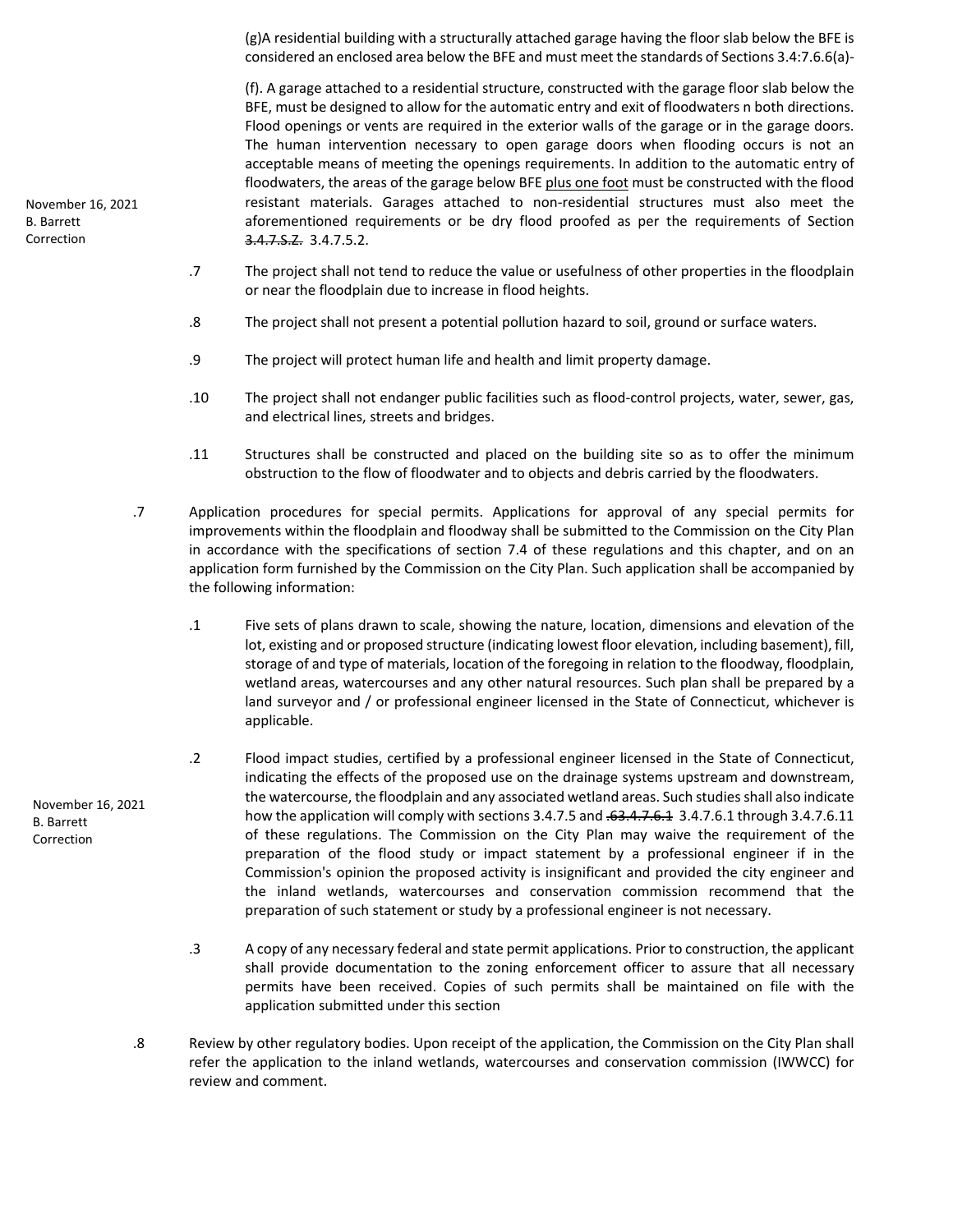(g)A residential building with a structurally attached garage having the floor slab below the BFE is considered an enclosed area below the BFE and must meet the standards of Sections 3.4:7.6.6(a)‐

(f). A garage attached to a residential structure, constructed with the garage floor slab below the BFE, must be designed to allow for the automatic entry and exit of floodwaters n both directions. Flood openings or vents are required in the exterior walls of the garage or in the garage doors. The human intervention necessary to open garage doors when flooding occurs is not an acceptable means of meeting the openings requirements. In addition to the automatic entry of floodwaters, the areas of the garage below BFE plus one foot must be constructed with the flood resistant materials. Garages attached to non-residential structures must also meet the aforementioned requirements or be dry flood proofed as per the requirements of Section 3.4.7.S.Z. 3.4.7.5.2.

- .7 The project shall not tend to reduce the value or usefulness of other properties in the floodplain or near the floodplain due to increase in flood heights.
- .8 The project shall not present a potential pollution hazard to soil, ground or surface waters.
- .9 The project will protect human life and health and limit property damage.
- .10 The project shall not endanger public facilities such as flood‐control projects, water, sewer, gas, and electrical lines, streets and bridges.
- .11 Structures shall be constructed and placed on the building site so as to offer the minimum obstruction to the flow of floodwater and to objects and debris carried by the floodwaters.
- .7 Application procedures for special permits. Applications for approval of any special permits for improvements within the floodplain and floodway shall be submitted to the Commission on the City Plan in accordance with the specifications of section 7.4 of these regulations and this chapter, and on an application form furnished by the Commission on the City Plan. Such application shall be accompanied by the following information:
	- .1 Five sets of plans drawn to scale, showing the nature, location, dimensions and elevation of the lot, existing and or proposed structure (indicating lowest floor elevation, including basement), fill, storage of and type of materials, location of the foregoing in relation to the floodway, floodplain, wetland areas, watercourses and any other natural resources. Such plan shall be prepared by a land surveyor and / or professional engineer licensed in the State of Connecticut, whichever is applicable.
	- .2 Flood impact studies, certified by a professional engineer licensed in the State of Connecticut, indicating the effects of the proposed use on the drainage systems upstream and downstream, the watercourse, the floodplain and any associated wetland areas. Such studiesshall also indicate how the application will comply with sections 3.4.7.5 and .63.4.7.6.1 3.4.7.6.1 through 3.4.7.6.11 of these regulations. The Commission on the City Plan may waive the requirement of the preparation of the flood study or impact statement by a professional engineer if in the Commission's opinion the proposed activity is insignificant and provided the city engineer and the inland wetlands, watercourses and conservation commission recommend that the preparation of such statement or study by a professional engineer is not necessary.
	- .3 A copy of any necessary federal and state permit applications. Prior to construction, the applicant shall provide documentation to the zoning enforcement officer to assure that all necessary permits have been received. Copies of such permits shall be maintained on file with the application submitted under this section
- .8 Review by other regulatory bodies. Upon receipt of the application, the Commission on the City Plan shall refer the application to the inland wetlands, watercourses and conservation commission (IWWCC) for review and comment.

November 16, 2021 B. Barrett Correction

November 16, 2021 B. Barrett Correction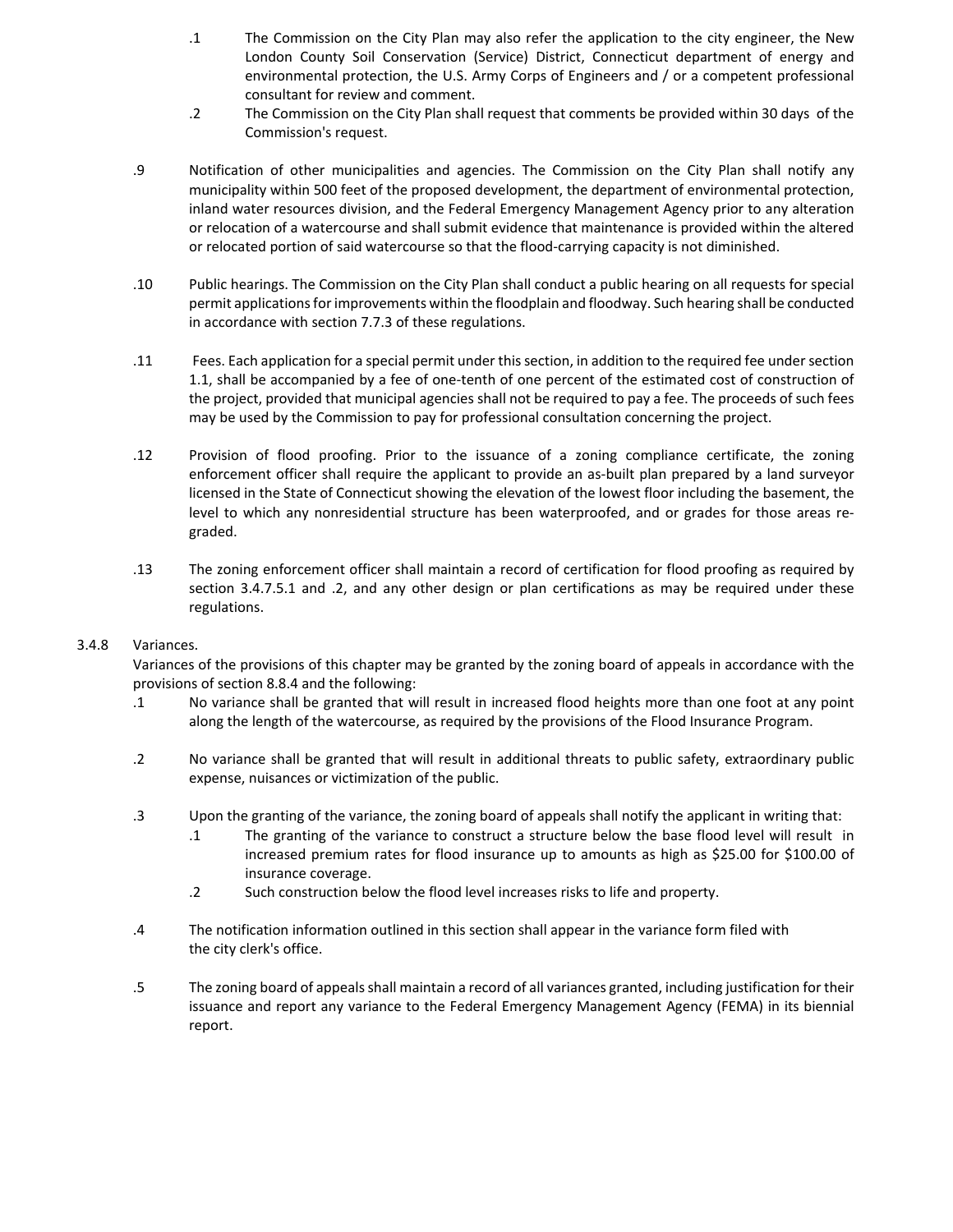- .1 The Commission on the City Plan may also refer the application to the city engineer, the New London County Soil Conservation (Service) District, Connecticut department of energy and environmental protection, the U.S. Army Corps of Engineers and / or a competent professional consultant for review and comment.
- .2 The Commission on the City Plan shall request that comments be provided within 30 days of the Commission's request.
- .9 Notification of other municipalities and agencies. The Commission on the City Plan shall notify any municipality within 500 feet of the proposed development, the department of environmental protection, inland water resources division, and the Federal Emergency Management Agency prior to any alteration or relocation of a watercourse and shall submit evidence that maintenance is provided within the altered or relocated portion of said watercourse so that the flood‐carrying capacity is not diminished.
- .10 Public hearings. The Commission on the City Plan shall conduct a public hearing on all requests for special permit applicationsforimprovements within the floodplain and floodway. Such hearing shall be conducted in accordance with section 7.7.3 of these regulations.
- .11 Fees. Each application for a special permit under thissection, in addition to the required fee undersection 1.1, shall be accompanied by a fee of one‐tenth of one percent of the estimated cost of construction of the project, provided that municipal agencies shall not be required to pay a fee. The proceeds of such fees may be used by the Commission to pay for professional consultation concerning the project.
- .12 Provision of flood proofing. Prior to the issuance of a zoning compliance certificate, the zoning enforcement officer shall require the applicant to provide an as‐built plan prepared by a land surveyor licensed in the State of Connecticut showing the elevation of the lowest floor including the basement, the level to which any nonresidential structure has been waterproofed, and or grades for those areas re‐ graded.
- .13 The zoning enforcement officer shall maintain a record of certification for flood proofing as required by section 3.4.7.5.1 and .2, and any other design or plan certifications as may be required under these regulations.

## 3.4.8 Variances.

Variances of the provisions of this chapter may be granted by the zoning board of appeals in accordance with the provisions of section 8.8.4 and the following:

- .1 No variance shall be granted that will result in increased flood heights more than one foot at any point along the length of the watercourse, as required by the provisions of the Flood Insurance Program.
- .2 No variance shall be granted that will result in additional threats to public safety, extraordinary public expense, nuisances or victimization of the public.
- .3 Upon the granting of the variance, the zoning board of appeals shall notify the applicant in writing that:
	- .1 The granting of the variance to construct a structure below the base flood level will result in increased premium rates for flood insurance up to amounts as high as \$25.00 for \$100.00 of insurance coverage.
	- .2 Such construction below the flood level increases risks to life and property.
- .4 The notification information outlined in this section shall appear in the variance form filed with the city clerk's office.
- .5 The zoning board of appealsshall maintain a record of all variances granted, including justification for their issuance and report any variance to the Federal Emergency Management Agency (FEMA) in its biennial report.